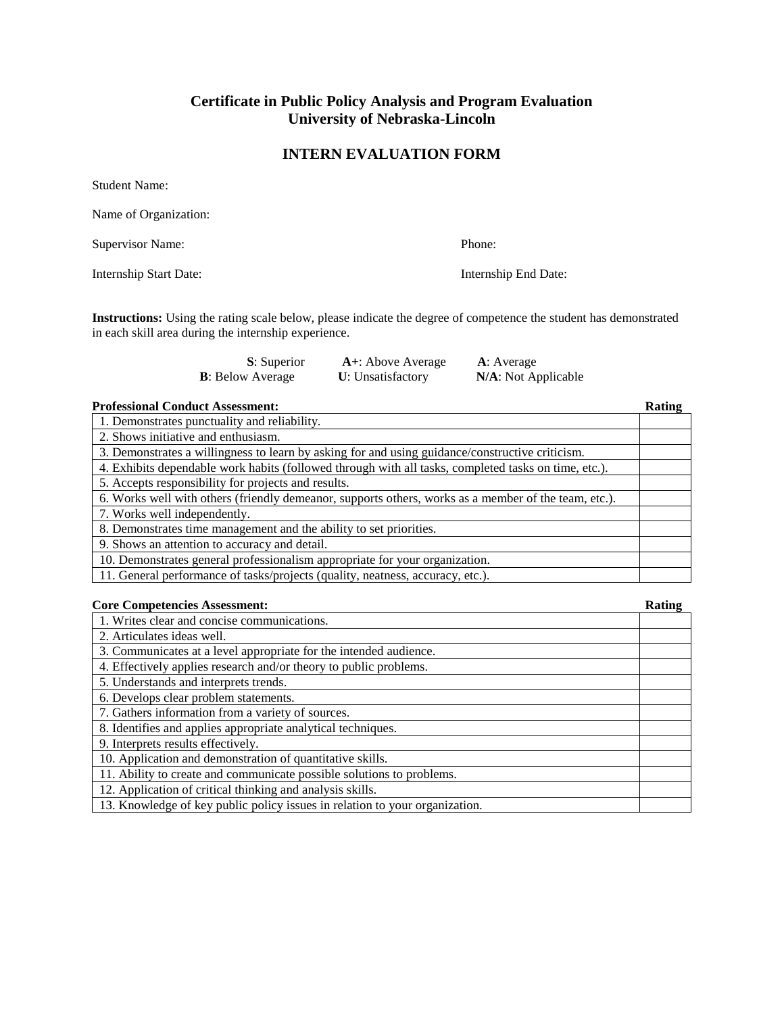## **Certificate in Public Policy Analysis and Program Evaluation University of Nebraska-Lincoln**

## **INTERN EVALUATION FORM**

| Phone:               |
|----------------------|
| Internship End Date: |
|                      |

**Instructions:** Using the rating scale below, please indicate the degree of competence the student has demonstrated in each skill area during the internship experience.

| <b>S</b> : Superior      | A+: Above Average         | A: Average          |
|--------------------------|---------------------------|---------------------|
| <b>B</b> : Below Average | <b>U</b> : Unsatisfactory | N/A: Not Applicable |

## **Professional Conduct Assessment: Rating**

| 1. Demonstrates punctuality and reliability.                                                         |  |
|------------------------------------------------------------------------------------------------------|--|
| 2. Shows initiative and enthusiasm.                                                                  |  |
| 3. Demonstrates a willingness to learn by asking for and using guidance/constructive criticism.      |  |
| 4. Exhibits dependable work habits (followed through with all tasks, completed tasks on time, etc.). |  |
| 5. Accepts responsibility for projects and results.                                                  |  |
| 6. Works well with others (friendly demeanor, supports others, works as a member of the team, etc.). |  |
| 7. Works well independently.                                                                         |  |
| 8. Demonstrates time management and the ability to set priorities.                                   |  |
| 9. Shows an attention to accuracy and detail.                                                        |  |
| 10. Demonstrates general professionalism appropriate for your organization.                          |  |
| 11. General performance of tasks/projects (quality, neatness, accuracy, etc.).                       |  |

| <b>Core Competencies Assessment:</b>                                        | Rating |
|-----------------------------------------------------------------------------|--------|
| 1. Writes clear and concise communications.                                 |        |
| 2. Articulates ideas well.                                                  |        |
| 3. Communicates at a level appropriate for the intended audience.           |        |
| 4. Effectively applies research and/or theory to public problems.           |        |
| 5. Understands and interprets trends.                                       |        |
| 6. Develops clear problem statements.                                       |        |
| 7. Gathers information from a variety of sources.                           |        |
| 8. Identifies and applies appropriate analytical techniques.                |        |
| 9. Interprets results effectively.                                          |        |
| 10. Application and demonstration of quantitative skills.                   |        |
| 11. Ability to create and communicate possible solutions to problems.       |        |
| 12. Application of critical thinking and analysis skills.                   |        |
| 13. Knowledge of key public policy issues in relation to your organization. |        |